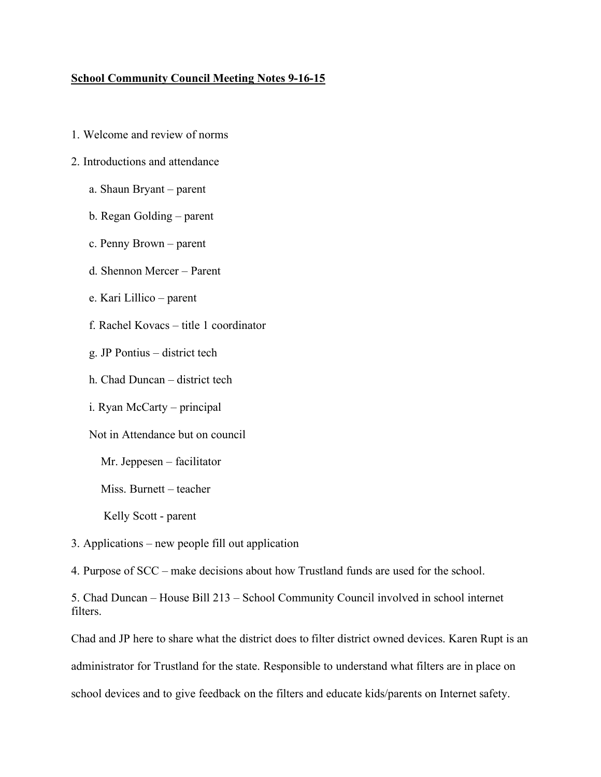## **School Community Council Meeting Notes 9-16-15**

- 1. Welcome and review of norms
- 2. Introductions and attendance
	- a. Shaun Bryant parent
	- b. Regan Golding parent
	- c. Penny Brown parent
	- d. Shennon Mercer Parent
	- e. Kari Lillico parent
	- f. Rachel Kovacs title 1 coordinator
	- g. JP Pontius district tech
	- h. Chad Duncan district tech
	- i. Ryan McCarty principal
	- Not in Attendance but on council
		- Mr. Jeppesen facilitator
		- Miss. Burnett teacher
		- Kelly Scott parent
- 3. Applications new people fill out application
- 4. Purpose of SCC make decisions about how Trustland funds are used for the school.

5. Chad Duncan – House Bill 213 – School Community Council involved in school internet filters.

Chad and JP here to share what the district does to filter district owned devices. Karen Rupt is an administrator for Trustland for the state. Responsible to understand what filters are in place on school devices and to give feedback on the filters and educate kids/parents on Internet safety.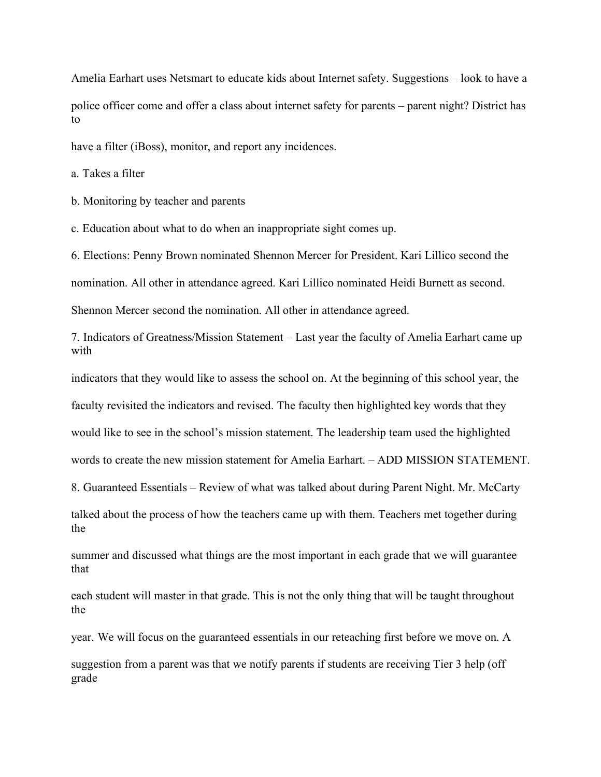Amelia Earhart uses Netsmart to educate kids about Internet safety. Suggestions – look to have a police officer come and offer a class about internet safety for parents – parent night? District has to

have a filter (*iBoss*), monitor, and report any incidences.

a. Takes a filter

b. Monitoring by teacher and parents

c. Education about what to do when an inappropriate sight comes up.

6. Elections: Penny Brown nominated Shennon Mercer for President. Kari Lillico second the

nomination. All other in attendance agreed. Kari Lillico nominated Heidi Burnett as second.

Shennon Mercer second the nomination. All other in attendance agreed.

7. Indicators of Greatness/Mission Statement – Last year the faculty of Amelia Earhart came up with

indicators that they would like to assess the school on. At the beginning of this school year, the

faculty revisited the indicators and revised. The faculty then highlighted key words that they

would like to see in the school's mission statement. The leadership team used the highlighted

words to create the new mission statement for Amelia Earhart. – ADD MISSION STATEMENT.

8. Guaranteed Essentials – Review of what was talked about during Parent Night. Mr. McCarty

talked about the process of how the teachers came up with them. Teachers met together during the

summer and discussed what things are the most important in each grade that we will guarantee that

each student will master in that grade. This is not the only thing that will be taught throughout the

year. We will focus on the guaranteed essentials in our reteaching first before we move on. A

suggestion from a parent was that we notify parents if students are receiving Tier 3 help (off grade